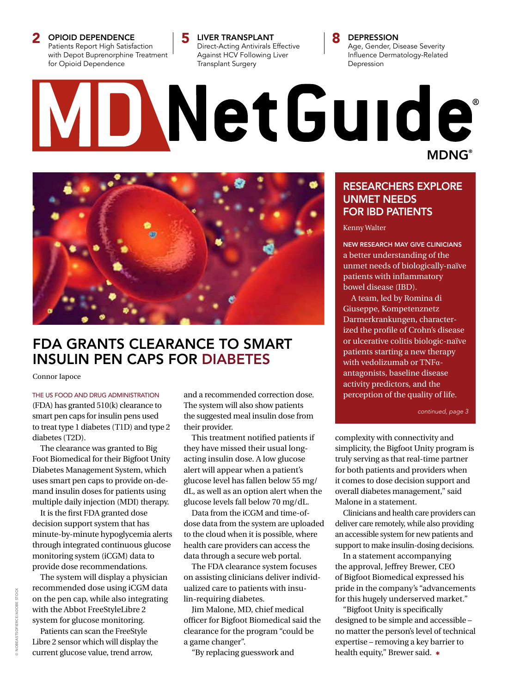2 OPIOID DEPENDENCE **5** LIVER TRANSPLANT **8**<br>Patients Papert High Satisfaction **5** Direct Acting Antivirals Effective Patients Report High Satisfaction with Depot Buprenorphine Treatment for Opioid Dependence

LIVER TRANSPLANT Direct-Acting Antivirals Effective Against HCV Following Liver Transplant Surgery

DEPRESSION Age, Gender, Disease Severity Influence Dermatology-Related Depression

# DNetGuide® MDNG®



### FDA GRANTS CLEARANCE TO SMART INSULIN PEN CAPS FOR DIABETES

Connor Iapoce

#### THE US FOOD AND DRUG ADMINISTRATION

(FDA) has granted 510(k) clearance to smart pen caps for insulin pens used to treat type 1 diabetes (T1D) and type 2 diabetes (T2D).

The clearance was granted to Big Foot Biomedical for their Bigfoot Unity Diabetes Management System, which uses smart pen caps to provide on-demand insulin doses for patients using multiple daily injection (MDI) therapy.

It is the first FDA granted dose decision support system that has minute-by-minute hypoglycemia alerts through integrated continuous glucose monitoring system (iCGM) data to provide dose recommendations.

The system will display a physician recommended dose using iCGM data on the pen cap, while also integrating with the Abbot FreeStyleLibre 2 system for glucose monitoring.

Patients can scan the FreeStyle Libre 2 sensor which will display the current glucose value, trend arrow,

and a recommended correction dose. The system will also show patients the suggested meal insulin dose from their provider.

This treatment notified patients if they have missed their usual longacting insulin dose. A low glucose alert will appear when a patient's glucose level has fallen below 55 mg/ dL, as well as an option alert when the glucose levels fall below 70 mg/dL.

Data from the iCGM and time-ofdose data from the system are uploaded to the cloud when it is possible, where health care providers can access the data through a secure web portal.

The FDA clearance system focuses on assisting clinicians deliver individualized care to patients with insulin-requiring diabetes.

Jim Malone, MD, chief medical officer for Bigfoot Biomedical said the clearance for the program "could be a game changer".

"By replacing guesswork and

### RESEARCHERS EXPLORE UNMET NEEDS FOR IBD PATIENTS

Kenny Walter

NEW RESEARCH MAY GIVE CLINICIANS a better understanding of the unmet needs of biologically-naïve patients with inflammatory bowel disease (IBD).

A team, led by Romina di Giuseppe, Kompetenznetz Darmerkrankungen, characterized the profile of Crohn's disease or ulcerative colitis biologic-naïve patients starting a new therapy with vedolizumab or TNFαantagonists, baseline disease activity predictors, and the perception of the quality of life.

*continued, page 3*

complexity with connectivity and simplicity, the Bigfoot Unity program is truly serving as that real-time partner for both patients and providers when it comes to dose decision support and overall diabetes management," said Malone in a statement.

Clinicians and health care providers can deliver care remotely, while also providing an accessible system for new patients and support to make insulin-dosing decisions.

In a statement accompanying the approval, Jeffrey Brewer, CEO of Bigfoot Biomedical expressed his pride in the company's "advancements for this hugely underserved market."

"Bigfoot Unity is specifically designed to be simple and accessible – no matter the person's level of technical expertise – removing a key barrier to health equity," Brewer said.  $*$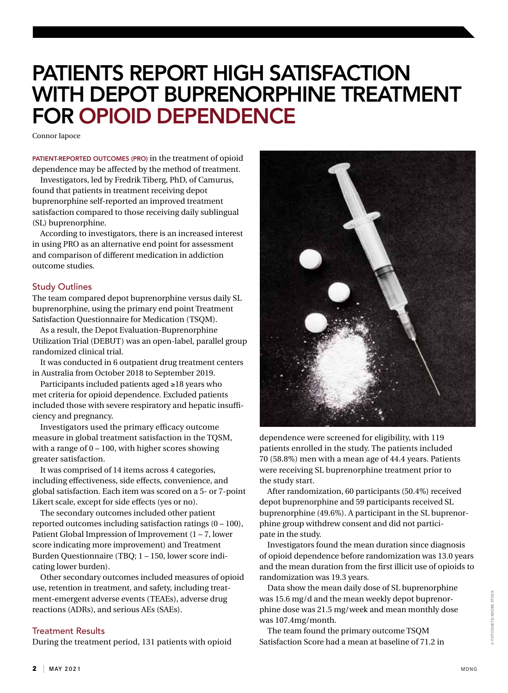## PATIENTS REPORT HIGH SATISFACTION WITH DEPOT BUPRENORPHINE TREATMENT FOR OPIOID DEPENDENCE

Connor Iapoce

PATIENT-REPORTED OUTCOMES (PRO) in the treatment of opioid dependence may be affected by the method of treatment.

Investigators, led by Fredrik Tiberg, PhD, of Camurus, found that patients in treatment receiving depot buprenorphine self-reported an improved treatment satisfaction compared to those receiving daily sublingual (SL) buprenorphine.

According to investigators, there is an increased interest in using PRO as an alternative end point for assessment and comparison of different medication in addiction outcome studies.

### Study Outlines

The team compared depot buprenorphine versus daily SL buprenorphine, using the primary end point Treatment Satisfaction Questionnaire for Medication (TSQM).

As a result, the Depot Evaluation-Buprenorphine Utilization Trial (DEBUT) was an open-label, parallel group randomized clinical trial.

It was conducted in 6 outpatient drug treatment centers in Australia from October 2018 to September 2019.

Participants included patients aged ≥18 years who met criteria for opioid dependence. Excluded patients included those with severe respiratory and hepatic insufficiency and pregnancy.

Investigators used the primary efficacy outcome measure in global treatment satisfaction in the TQSM, with a range of 0 – 100, with higher scores showing greater satisfaction.

It was comprised of 14 items across 4 categories, including effectiveness, side effects, convenience, and global satisfaction. Each item was scored on a 5- or 7-point Likert scale, except for side effects (yes or no).

The secondary outcomes included other patient reported outcomes including satisfaction ratings (0 – 100), Patient Global Impression of Improvement (1 – 7, lower score indicating more improvement) and Treatment Burden Questionnaire (TBQ; 1 – 150, lower score indicating lower burden).

Other secondary outcomes included measures of opioid use, retention in treatment, and safety, including treatment-emergent adverse events (TEAEs), adverse drug reactions (ADRs), and serious AEs (SAEs).

### Treatment Results

During the treatment period, 131 patients with opioid



dependence were screened for eligibility, with 119 patients enrolled in the study. The patients included 70 (58.8%) men with a mean age of 44.4 years. Patients were receiving SL buprenorphine treatment prior to the study start.

After randomization, 60 participants (50.4%) received depot buprenorphine and 59 participants received SL buprenorphine (49.6%). A participant in the SL buprenorphine group withdrew consent and did not participate in the study.

Investigators found the mean duration since diagnosis of opioid dependence before randomization was 13.0 years and the mean duration from the first illicit use of opioids to randomization was 19.3 years.

Data show the mean daily dose of SL buprenorphine was 15.6 mg/d and the mean weekly depot buprenorphine dose was 21.5 mg/week and mean monthly dose was 107.4mg/month.

The team found the primary outcome TSQM Satisfaction Score had a mean at baseline of 71.2 in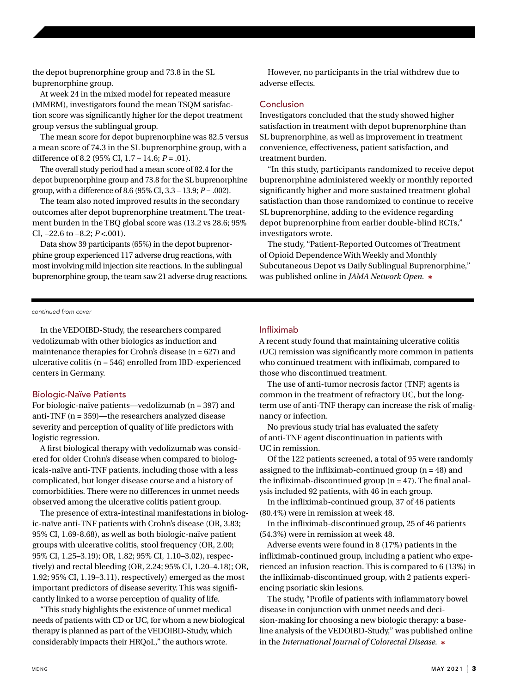the depot buprenorphine group and 73.8 in the SL buprenorphine group.

At week 24 in the mixed model for repeated measure (MMRM), investigators found the mean TSQM satisfaction score was significantly higher for the depot treatment group versus the sublingual group.

The mean score for depot buprenorphine was 82.5 versus a mean score of 74.3 in the SL buprenorphine group, with a difference of 8.2 (95% CI, 1.7 – 14.6; *P* = .01).

The overall study period had a mean score of 82.4 for the depot buprenorphine group and 73.8 for the SL buprenorphine group, with a difference of 8.6 (95% CI, 3.3 – 13.9; *P* = .002).

The team also noted improved results in the secondary outcomes after depot buprenorphine treatment. The treatment burden in the TBQ global score was (13.2 vs 28.6; 95% CI, −22.6 to −8.2; *P* <.001).

Data show 39 participants (65%) in the depot buprenorphine group experienced 117 adverse drug reactions, with most involving mild injection site reactions. In the sublingual buprenorphine group, the team saw 21 adverse drug reactions.

*continued from cover*

In the VEDOIBD-Study, the researchers compared vedolizumab with other biologics as induction and maintenance therapies for Crohn's disease  $(n = 627)$  and ulcerative colitis (n = 546) enrolled from IBD-experienced centers in Germany.

#### Biologic-Naïve Patients

For biologic-naïve patients—vedolizumab (n = 397) and anti-TNF (n = 359)—the researchers analyzed disease severity and perception of quality of life predictors with logistic regression.

A first biological therapy with vedolizumab was considered for older Crohn's disease when compared to biologicals-naïve anti-TNF patients, including those with a less complicated, but longer disease course and a history of comorbidities. There were no differences in unmet needs observed among the ulcerative colitis patient group.

The presence of extra-intestinal manifestations in biologic-naïve anti-TNF patients with Crohn's disease (OR, 3.83; 95% CI, 1.69-8.68), as well as both biologic-naïve patient groups with ulcerative colitis, stool frequency (OR, 2.00; 95% CI, 1.25–3.19); OR, 1.82; 95% CI, 1.10–3.02), respectively) and rectal bleeding (OR, 2.24; 95% CI, 1.20–4.18); OR, 1.92; 95% CI, 1.19–3.11), respectively) emerged as the most important predictors of disease severity. This was significantly linked to a worse perception of quality of life.

"This study highlights the existence of unmet medical needs of patients with CD or UC, for whom a new biological therapy is planned as part of the VEDOIBD-Study, which considerably impacts their HRQoL," the authors wrote.

However, no participants in the trial withdrew due to adverse effects.

### Conclusion

Investigators concluded that the study showed higher satisfaction in treatment with depot buprenorphine than SL buprenorphine, as well as improvement in treatment convenience, effectiveness, patient satisfaction, and treatment burden.

"In this study, participants randomized to receive depot buprenorphine administered weekly or monthly reported significantly higher and more sustained treatment global satisfaction than those randomized to continue to receive SL buprenorphine, adding to the evidence regarding depot buprenorphine from earlier double-blind RCTs," investigators wrote.

The study, "Patient-Reported Outcomes of Treatment of Opioid Dependence With Weekly and Monthly Subcutaneous Depot vs Daily Sublingual Buprenorphine," was published online in *JAMA Network Open.*  $*$ 

#### Infliximab

A recent study found that maintaining ulcerative colitis (UC) remission was significantly more common in patients who continued treatment with infliximab, compared to those who discontinued treatment.

The use of anti-tumor necrosis factor (TNF) agents is common in the treatment of refractory UC, but the longterm use of anti-TNF therapy can increase the risk of malignancy or infection.

No previous study trial has evaluated the safety of anti-TNF agent discontinuation in patients with UC in remission.

Of the 122 patients screened, a total of 95 were randomly assigned to the infliximab-continued group ( $n = 48$ ) and the infliximab-discontinued group  $(n = 47)$ . The final analysis included 92 patients, with 46 in each group.

In the infliximab-continued group, 37 of 46 patients (80.4%) were in remission at week 48.

In the infliximab-discontinued group, 25 of 46 patients (54.3%) were in remission at week 48.

Adverse events were found in 8 (17%) patients in the infliximab-continued group, including a patient who experienced an infusion reaction. This is compared to 6 (13%) in the infliximab-discontinued group, with 2 patients experiencing psoriatic skin lesions.

The study, "Profile of patients with inflammatory bowel disease in conjunction with unmet needs and decision-making for choosing a new biologic therapy: a baseline analysis of the VEDOIBD-Study," was published online in the *International Journal of Colorectal Disease*. ✱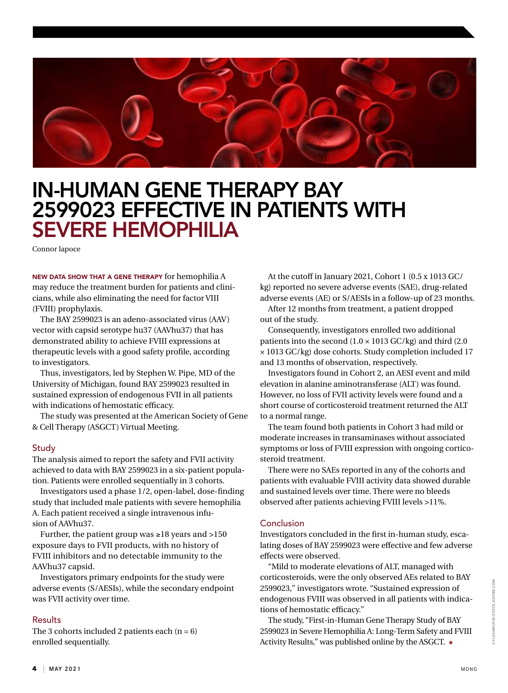

### IN-HUMAN GENE THERAPY BAY 2599023 EFFECTIVE IN PATIENTS WITH SEVERE HEMOPHILIA

Connor Iapoce

NEW DATA SHOW THAT A GENE THERAPY for hemophilia A may reduce the treatment burden for patients and clinicians, while also eliminating the need for factor VIII (FVIII) prophylaxis.

The BAY 2599023 is an adeno-associated virus (AAV) vector with capsid serotype hu37 (AAVhu37) that has demonstrated ability to achieve FVIII expressions at therapeutic levels with a good safety profile, according to investigators.

Thus, investigators, led by Stephen W. Pipe, MD of the University of Michigan, found BAY 2599023 resulted in sustained expression of endogenous FVII in all patients with indications of hemostatic efficacy.

The study was presented at the American Society of Gene & Cell Therapy (ASGCT) Virtual Meeting.

### **Study**

The analysis aimed to report the safety and FVII activity achieved to data with BAY 2599023 in a six-patient population. Patients were enrolled sequentially in 3 cohorts.

Investigators used a phase 1/2, open-label, dose-finding study that included male patients with severe hemophilia A. Each patient received a single intravenous infusion of AAVhu37.

Further, the patient group was ≥18 years and >150 exposure days to FVII products, with no history of FVIII inhibitors and no detectable immunity to the AAVhu37 capsid.

Investigators primary endpoints for the study were adverse events (S/AESIs), while the secondary endpoint was FVII activity over time.

### Results

The 3 cohorts included 2 patients each  $(n = 6)$ enrolled sequentially.

At the cutoff in January 2021, Cohort 1 (0.5 x 1013 GC/ kg) reported no severe adverse events (SAE), drug-related adverse events (AE) or S/AESIs in a follow-up of 23 months.

After 12 months from treatment, a patient dropped out of the study.

Consequently, investigators enrolled two additional patients into the second  $(1.0 \times 1013 \text{ GC/kg})$  and third  $(2.0 \text{ Z})$ × 1013 GC/kg) dose cohorts. Study completion included 17 and 13 months of observation, respectively.

Investigators found in Cohort 2, an AESI event and mild elevation in alanine aminotransferase (ALT) was found. However, no loss of FVII activity levels were found and a short course of corticosteroid treatment returned the ALT to a normal range.

The team found both patients in Cohort 3 had mild or moderate increases in transaminases without associated symptoms or loss of FVIII expression with ongoing corticosteroid treatment.

There were no SAEs reported in any of the cohorts and patients with evaluable FVIII activity data showed durable and sustained levels over time. There were no bleeds observed after patients achieving FVIII levels >11%.

### Conclusion

Investigators concluded in the first in-human study, escalating doses of BAY 2599023 were effective and few adverse effects were observed.

"Mild to moderate elevations of ALT, managed with corticosteroids, were the only observed AEs related to BAY 2599023," investigators wrote. "Sustained expression of endogenous FVIII was observed in all patients with indications of hemostatic efficacy."

The study, "First-in-Human Gene Therapy Study of BAY 2599023 in Severe Hemophilia A: Long-Term Safety and FVIII Activity Results," was published online by the ASGCT.  $*$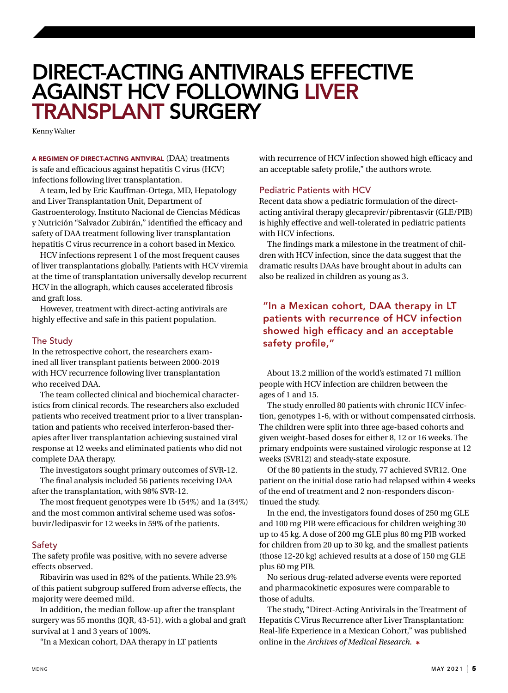### DIRECT-ACTING ANTIVIRALS EFFECTIVE AGAINST HCV FOLLOWING LIVER TRANSPLANT SURGERY

Kenny Walter

A REGIMEN OF DIRECT-ACTING ANTIVIRAL (DAA) treatments is safe and efficacious against hepatitis C virus (HCV) infections following liver transplantation.

A team, led by Eric Kauffman-Ortega, MD, Hepatology and Liver Transplantation Unit, Department of Gastroenterology, Instituto Nacional de Ciencias Médicas y Nutrición "Salvador Zubirán," identified the efficacy and safety of DAA treatment following liver transplantation hepatitis C virus recurrence in a cohort based in Mexico.

HCV infections represent 1 of the most frequent causes of liver transplantations globally. Patients with HCV viremia at the time of transplantation universally develop recurrent HCV in the allograph, which causes accelerated fibrosis and graft loss.

However, treatment with direct-acting antivirals are highly effective and safe in this patient population.

### The Study

In the retrospective cohort, the researchers examined all liver transplant patients between 2000-2019 with HCV recurrence following liver transplantation who received DAA.

The team collected clinical and biochemical characteristics from clinical records. The researchers also excluded patients who received treatment prior to a liver transplantation and patients who received interferon-based therapies after liver transplantation achieving sustained viral response at 12 weeks and eliminated patients who did not complete DAA therapy.

The investigators sought primary outcomes of SVR-12.

The final analysis included 56 patients receiving DAA after the transplantation, with 98% SVR-12.

The most frequent genotypes were 1b (54%) and 1a (34%) and the most common antiviral scheme used was sofosbuvir/ledipasvir for 12 weeks in 59% of the patients.

### Safety

The safety profile was positive, with no severe adverse effects observed.

Ribavirin was used in 82% of the patients. While 23.9% of this patient subgroup suffered from adverse effects, the majority were deemed mild.

In addition, the median follow-up after the transplant surgery was 55 months (IQR, 43-51), with a global and graft survival at 1 and 3 years of 100%.

"In a Mexican cohort, DAA therapy in LT patients

with recurrence of HCV infection showed high efficacy and an acceptable safety profile," the authors wrote.

### Pediatric Patients with HCV

Recent data show a pediatric formulation of the directacting antiviral therapy glecaprevir/pibrentasvir (GLE/PIB) is highly effective and well-tolerated in pediatric patients with HCV infections.

The findings mark a milestone in the treatment of children with HCV infection, since the data suggest that the dramatic results DAAs have brought about in adults can also be realized in children as young as 3.

"In a Mexican cohort, DAA therapy in LT patients with recurrence of HCV infection showed high efficacy and an acceptable safety profile,"

About 13.2 million of the world's estimated 71 million people with HCV infection are children between the ages of 1 and 15.

The study enrolled 80 patients with chronic HCV infection, genotypes 1-6, with or without compensated cirrhosis. The children were split into three age-based cohorts and given weight-based doses for either 8, 12 or 16 weeks. The primary endpoints were sustained virologic response at 12 weeks (SVR12) and steady-state exposure.

Of the 80 patients in the study, 77 achieved SVR12. One patient on the initial dose ratio had relapsed within 4 weeks of the end of treatment and 2 non-responders discontinued the study.

In the end, the investigators found doses of 250 mg GLE and 100 mg PIB were efficacious for children weighing 30 up to 45 kg. A dose of 200 mg GLE plus 80 mg PIB worked for children from 20 up to 30 kg, and the smallest patients (those 12-20 kg) achieved results at a dose of 150 mg GLE plus 60 mg PIB.

No serious drug-related adverse events were reported and pharmacokinetic exposures were comparable to those of adults.

The study, "Direct-Acting Antivirals in the Treatment of Hepatitis C Virus Recurrence after Liver Transplantation: Real-life Experience in a Mexican Cohort," was published online in the *Archives of Medical Research*. ✱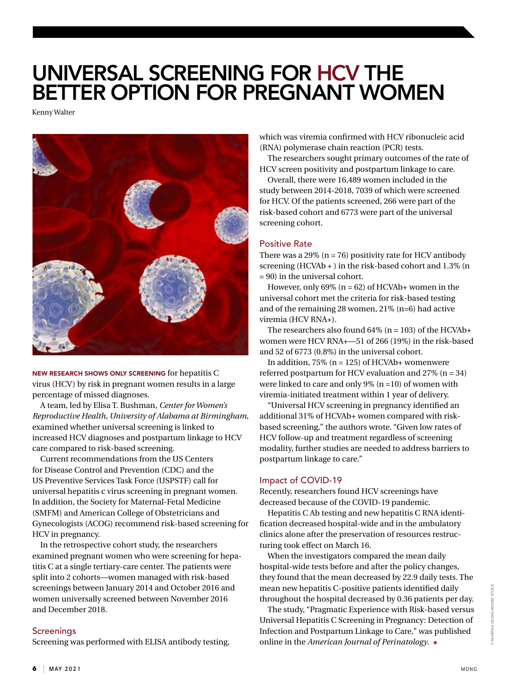### UNIVERSAL SCREENING FOR HCV THE BETTER OPTION FOR PREGNANT WOMEN

Kenny Walter



NEW RESEARCH SHOWS ONLY SCREENING for hepatitis C virus (HCV) by risk in pregnant women results in a large percentage of missed diagnoses.

A team, led by Elisa T. Bushman, *Center for Women's Reproductive Health, University of Alabama at Birmingham*, examined whether universal screening is linked to increased HCV diagnoses and postpartum linkage to HCV care compared to risk-based screening.

Current recommendations from the US Centers for Disease Control and Prevention (CDC) and the US Preventive Services Task Force (USPSTF) call for universal hepatitis c virus screening in pregnant women. In addition, the Society for Maternal-Fetal Medicine (SMFM) and American College of Obstetricians and Gynecologists (ACOG) recommend risk-based screening for HCV in pregnancy.

In the retrospective cohort study, the researchers examined pregnant women who were screening for hepatitis C at a single tertiary-care center. The patients were split into 2 cohorts—women managed with risk-based screenings between January 2014 and October 2016 and women universally screened between November 2016 and December 2018.

### **Screenings**

Screening was performed with ELISA antibody testing,

which was viremia confirmed with HCV ribonucleic acid (RNA) polymerase chain reaction (PCR) tests.

The researchers sought primary outcomes of the rate of HCV screen positivity and postpartum linkage to care.

Overall, there were 16,489 women included in the study between 2014-2018, 7039 of which were screened for HCV. Of the patients screened, 266 were part of the risk-based cohort and 6773 were part of the universal screening cohort.

### Positive Rate

There was a 29% ( $n = 76$ ) positivity rate for HCV antibody screening (HCVAb + ) in the risk-based cohort and 1.3% (n = 90) in the universal cohort.

However, only  $69\%$  (n = 62) of HCVAb+ women in the universal cohort met the criteria for risk-based testing and of the remaining 28 women, 21% (n=6) had active viremia (HCV RNA+).

The researchers also found  $64\%$  (n = 103) of the HCVAb+ women were HCV RNA+—51 of 266 (19%) in the risk-based and 52 of 6773 (0.8%) in the universal cohort.

In addition,  $75\%$  (n = 125) of HCVAb+ womenwere referred postpartum for HCV evaluation and  $27\%$  (n = 34) were linked to care and only  $9\%$  (n =10) of women with viremia-initiated treatment within 1 year of delivery.

"Universal HCV screening in pregnancy identified an additional 31% of HCVAb+ women compared with riskbased screening," the authors wrote. "Given low rates of HCV follow-up and treatment regardless of screening modality, further studies are needed to address barriers to postpartum linkage to care."

#### Impact of COVID-19

Recently, researchers found HCV screenings have decreased because of the COVID-19 pandemic.

Hepatitis C Ab testing and new hepatitis C RNA identification decreased hospital-wide and in the ambulatory clinics alone after the preservation of resources restructuring took effect on March 16.

When the investigators compared the mean daily hospital-wide tests before and after the policy changes, they found that the mean decreased by 22.9 daily tests. The mean new hepatitis C-positive patients identified daily throughout the hospital decreased by 0.36 patients per day.

The study, "Pragmatic Experience with Risk-based versus Universal Hepatitis C Screening in Pregnancy: Detection of Infection and Postpartum Linkage to Care," was published online in the *American Journal of Perinatology*. ✱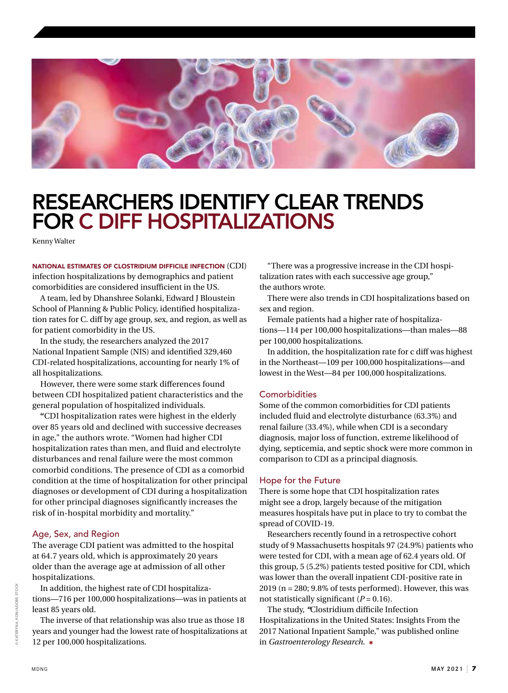

### RESEARCHERS IDENTIFY CLEAR TRENDS FOR C DIFF HOSPITALIZATIONS

Kenny Walter

NATIONAL ESTIMATES OF CLOSTRIDIUM DIFFICILE INFECTION (CDI) infection hospitalizations by demographics and patient comorbidities are considered insufficient in the US.

A team, led by Dhanshree Solanki, Edward J Bloustein School of Planning & Public Policy, identified hospitalization rates for C. diff by age group, sex, and region, as well as for patient comorbidity in the US.

In the study, the researchers analyzed the 2017 National Inpatient Sample (NIS) and identified 329,460 CDI-related hospitalizations, accounting for nearly 1% of all hospitalizations.

However, there were some stark differences found between CDI hospitalized patient characteristics and the general population of hospitalized individuals.

**"**CDI hospitalization rates were highest in the elderly over 85 years old and declined with successive decreases in age," the authors wrote. "Women had higher CDI hospitalization rates than men, and fluid and electrolyte disturbances and renal failure were the most common comorbid conditions. The presence of CDI as a comorbid condition at the time of hospitalization for other principal diagnoses or development of CDI during a hospitalization for other principal diagnoses significantly increases the risk of in-hospital morbidity and mortality."

### Age, Sex, and Region

The average CDI patient was admitted to the hospital at 64.7 years old, which is approximately 20 years older than the average age at admission of all other hospitalizations.

In addition, the highest rate of CDI hospitalizations—716 per 100,000 hospitalizations—was in patients at least 85 years old.

The inverse of that relationship was also true as those 18 years and younger had the lowest rate of hospitalizations at 12 per 100,000 hospitalizations.

"There was a progressive increase in the CDI hospitalization rates with each successive age group," the authors wrote.

There were also trends in CDI hospitalizations based on sex and region.

Female patients had a higher rate of hospitalizations—114 per 100,000 hospitalizations—than males—88 per 100,000 hospitalizations.

In addition, the hospitalization rate for c diff was highest in the Northeast—109 per 100,000 hospitalizations—and lowest in the West—84 per 100,000 hospitalizations.

### **Comorbidities**

Some of the common comorbidities for CDI patients included fluid and electrolyte disturbance (63.3%) and renal failure (33.4%), while when CDI is a secondary diagnosis, major loss of function, extreme likelihood of dying, septicemia, and septic shock were more common in comparison to CDI as a principal diagnosis.

### Hope for the Future

There is some hope that CDI hospitalization rates might see a drop, largely because of the mitigation measures hospitals have put in place to try to combat the spread of COVID-19.

Researchers recently found in a retrospective cohort study of 9 Massachusetts hospitals 97 (24.9%) patients who were tested for CDI, with a mean age of 62.4 years old. Of this group, 5 (5.2%) patients tested positive for CDI, which was lower than the overall inpatient CDI-positive rate in  $2019$  (n = 280;  $9.8\%$  of tests performed). However, this was not statistically significant  $(P = 0.16)$ .

The study, *"*Clostridium difficile Infection Hospitalizations in the United States: Insights From the 2017 National Inpatient Sample," was published online in *Gastroenterology Research*. ✱